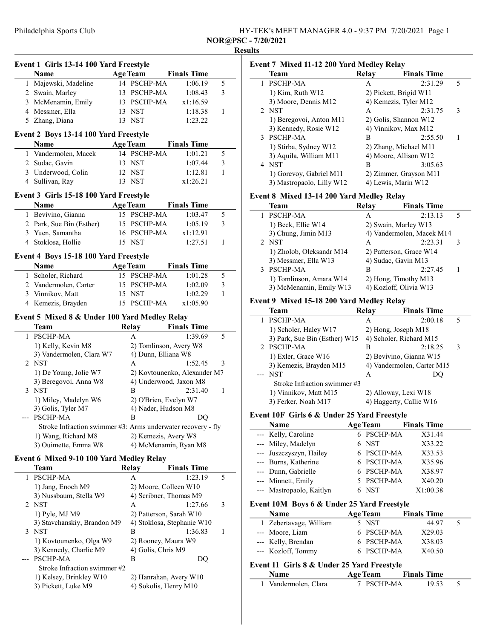| HY-TEK's MEET MANAGER 4.0 - 9:37 PM 7/20/2021 Page 1 |  |
|------------------------------------------------------|--|
| <b>NOR@PSC - 7/20/2021</b>                           |  |
|                                                      |  |

## **Results**

| Event 1 Girls 13-14 100 Yard Freestyle                       |                 |                       |                              |              | Event 7 Mixed 11-12 20           |
|--------------------------------------------------------------|-----------------|-----------------------|------------------------------|--------------|----------------------------------|
| Name                                                         | <b>Age Team</b> |                       | <b>Finals Time</b>           |              | <b>Team</b>                      |
| 1 Majewski, Madeline                                         |                 | 14 PSCHP-MA           | 1:06.19                      | 5            | 1 PSCHP-MA                       |
| 2 Swain, Marley                                              |                 | 13 PSCHP-MA           | 1:08.43                      | 3            | 1) Kim, Ruth W12                 |
| 3 McMenamin, Emily                                           |                 | 13 PSCHP-MA           | x1:16.59                     |              | 3) Moore, Dennis M1.             |
| 4 Messmer, Ella                                              | 13 NST          |                       | 1:18.38                      | $\mathbf{1}$ | 2 NST                            |
| 5 Zhang, Diana                                               | 13 NST          |                       | 1:23.22                      |              | 1) Beregovoi, Anton N            |
|                                                              |                 |                       |                              |              | 3) Kennedy, Rosie W1             |
| Event 2 Boys 13-14 100 Yard Freestyle<br>Name                | <b>Age Team</b> |                       | <b>Finals Time</b>           |              | 3 PSCHP-MA                       |
| 1 Vandermolen, Macek                                         |                 | 14 PSCHP-MA           |                              | 5            | 1) Stirba, Sydney W12            |
|                                                              |                 |                       | 1:01.21                      |              | 3) Aquila, William M1            |
| 2 Sudac, Gavin                                               | 13 NST          |                       | 1:07.44                      | 3            | 4 NST                            |
| 3 Underwood, Colin                                           | 12 NST          |                       | 1:12.81                      | $\mathbf{1}$ | 1) Gorevoy, Gabriel M            |
| 4 Sullivan, Ray                                              | 13 NST          |                       | x1:26.21                     |              | 3) Mastropaolo, Lilly            |
| Event 3 Girls 15-18 100 Yard Freestyle                       |                 |                       |                              |              | <b>Event 8 Mixed 13-14 20</b>    |
| Name                                                         | <b>Age Team</b> |                       | <b>Finals Time</b>           |              | <b>Team</b>                      |
| 1 Bevivino, Gianna                                           |                 | 15 PSCHP-MA           | 1:03.47                      | 5            | 1 PSCHP-MA                       |
| 2 Park, Sue Bin (Esther)                                     |                 | 15 PSCHP-MA           | 1:05.19                      | 3            | 1) Beck, Ellie W14               |
| 3 Yuen, Samantha                                             |                 | 16 PSCHP-MA           | x1:12.91                     |              | 3) Chung, Jimin M13              |
| 4 Stoklosa, Hollie                                           | 15 NST          |                       | 1:27.51                      | $\mathbf{1}$ | 2 NST                            |
| Event 4 Boys 15-18 100 Yard Freestyle                        |                 |                       |                              |              | 1) Zholob, Oleksandr             |
| Name                                                         | <b>Age Team</b> |                       | <b>Finals Time</b>           |              | 3) Messmer, Ella W13             |
| 1 Scholer, Richard                                           |                 | 15 PSCHP-MA           | 1:01.28                      | 5            | 3 PSCHP-MA                       |
| 2 Vandermolen, Carter                                        |                 | 15 PSCHP-MA           | 1:02.09                      | 3            | 1) Tomlinson, Amara              |
| 3 Vinnikov, Matt                                             | 15 NST          |                       | 1:02.29                      | $\mathbf{1}$ | 3) McMenamin, Emily              |
| 4 Kemezis, Brayden                                           |                 | 15 PSCHP-MA           | x1:05.90                     |              | <b>Event 9 Mixed 15-18 20</b>    |
|                                                              |                 |                       |                              |              | <b>Team</b>                      |
| Event 5 Mixed 8 & Under 100 Yard Medley Relay                |                 |                       |                              |              | 1 PSCHP-MA                       |
| Team                                                         | Relay           |                       | <b>Finals Time</b>           |              | 1) Scholer, Haley W1'            |
| 1 PSCHP-MA                                                   |                 | A                     | 1:39.69                      | 5            | 3) Park, Sue Bin (Esth           |
| 1) Kelly, Kevin M8                                           |                 |                       | 2) Tomlinson, Avery W8       |              | 2 PSCHP-MA                       |
| 3) Vandermolen, Clara W7                                     |                 | 4) Dunn, Elliana W8   |                              |              | 1) Exler, Grace W16              |
| 2 NST                                                        |                 | А                     | 1:52.45                      | 3            | 3) Kemezis, Brayden l            |
| 1) De Young, Jolie W7                                        |                 |                       | 2) Kovtounenko, Alexander M7 |              | --- NST                          |
| 3) Beregovoi, Anna W8                                        |                 |                       | 4) Underwood, Jaxon M8       |              | Stroke Infraction sw             |
| 3 NST                                                        |                 | B                     | 2:31.40                      | $\mathbf{1}$ | 1) Vinnikov, Matt M1             |
| 1) Miley, Madelyn W6                                         |                 | 2) O'Brien, Evelyn W7 |                              |              | 3) Ferker, Noah M17              |
| 3) Golis, Tyler M7                                           |                 | 4) Nader, Hudson M8   |                              |              |                                  |
| --- PSCHP-MA                                                 |                 | B                     | DO                           |              | Event 10F Girls 6 & Un           |
| Stroke Infraction swimmer #3: Arms underwater recovery - fly |                 |                       |                              |              | Name                             |
| 1) Wang, Richard M8                                          |                 | 2) Kemezis, Avery W8  |                              |              | --- Kelly, Caroline              |
| 3) Ouimette, Emma W8                                         |                 |                       | 4) McMenamin, Ryan M8        |              | --- Miley, Madelyn               |
| Event 6 Mixed 9-10 100 Yard Medley Relay                     |                 |                       |                              |              | Juszczyszyn, Hailey<br>---       |
| Team                                                         |                 |                       | <b>Finals Time</b>           |              | Burns, Katherine                 |
|                                                              | <b>Relay</b>    |                       |                              | 5            | Dunn, Gabrielle                  |
| 1 PSCHP-MA                                                   |                 | A                     | 1:23.19                      |              | --- Minnett, Emily               |
| 1) Jang, Enoch M9                                            |                 | 2) Moore, Colleen W10 |                              |              | --- Mastropaolo, Kaitlyn         |
| 3) Nussbaum, Stella W9                                       |                 |                       | 4) Scribner, Thomas M9       |              |                                  |
| 2 NST                                                        |                 | A                     | 1:27.66                      | 3            | <b>Event 10M Boys 6 &amp; Un</b> |
| 1) Pyle, MJ M9                                               |                 |                       | 2) Patterson, Sarah W10      |              | <b>Name</b>                      |
| 3) Stavchanskiy, Brandon M9                                  |                 |                       | 4) Stoklosa, Stephanie W10   |              | 1 Zebertavage, William           |
| 3 NST                                                        |                 | В                     | 1:36.83                      | 1            | --- Moore, Liam                  |
| 1) Kovtounenko, Olga W9                                      |                 | 2) Rooney, Maura W9   |                              |              | --- Kelly, Brendan               |
| 3) Kennedy, Charlie M9                                       |                 | 4) Golis, Chris M9    |                              |              | --- Kozloff, Tommy               |
| --- PSCHP-MA<br>Stroke Infraction swimmer #2                 |                 | В                     | DQ                           |              | Event 11 Girls 8 & Unde          |
|                                                              |                 |                       |                              |              | Name                             |
| 1) Kelsey, Brinkley W10                                      |                 |                       | 2) Hanrahan, Avery W10       |              | 1 Vandermolen, Clara             |
| 3) Pickett, Luke M9                                          |                 | 4) Sokolis, Henry M10 |                              |              |                                  |
|                                                              |                 |                       |                              |              |                                  |

| Event 7 Mixed 11-12 200 Yard Medley Relay |       |                        |   |  |  |  |
|-------------------------------------------|-------|------------------------|---|--|--|--|
| Team                                      | Relay | <b>Finals Time</b>     |   |  |  |  |
| <b>PSCHP-MA</b>                           | A     | 2:31.29                | 5 |  |  |  |
| $1)$ Kim, Ruth W $12$                     |       | 2) Pickett, Brigid W11 |   |  |  |  |
| 3) Moore, Dennis M12                      |       | 4) Kemezis, Tyler M12  |   |  |  |  |
| 2 NST                                     | A     | 2:31.75                | 3 |  |  |  |
| 1) Beregovoi, Anton M11                   |       | 2) Golis, Shannon W12  |   |  |  |  |
| 3) Kennedy, Rosie W12                     |       | 4) Vinnikov, Max M12   |   |  |  |  |
| 3 PSCHP-MA                                | B     | 2:55.50                | 1 |  |  |  |
| 1) Stirba, Sydney W12                     |       | 2) Zhang, Michael M11  |   |  |  |  |
| 3) Aquila, William M11                    |       | 4) Moore, Allison W12  |   |  |  |  |
| 4 NST                                     | B     | 3:05.63                |   |  |  |  |
| 1) Gorevoy, Gabriel M11                   |       | 2) Zimmer, Grayson M11 |   |  |  |  |
| 3) Mastropaolo, Lilly W12                 |       | 4) Lewis, Marin W12    |   |  |  |  |

## 0 Yard Medley Relay

| Team                     | Relay | <b>Finals Time</b>        |   |
|--------------------------|-------|---------------------------|---|
| <b>PSCHP-MA</b>          | А     | 2:13.13                   | 5 |
| 1) Beck, Ellie W14       |       | 2) Swain, Marley W13      |   |
| 3) Chung, Jimin M13      |       | 4) Vandermolen, Macek M14 |   |
| 2 NST                    | A     | 2:23.31                   | 3 |
| 1) Zholob, Oleksandr M14 |       | 2) Patterson, Grace W14   |   |
| 3) Messmer, Ella W13     |       | 4) Sudac, Gavin M13       |   |
| <b>PSCHP-MA</b>          | в     | 2:27.45                   |   |
| 1) Tomlinson, Amara W14  |       | 2) Hong, Timothy M13      |   |
| 3) McMenamin, Emily W13  |       | 4) Kozloff, Olivia W13    |   |

# 0 Yard Medley Relay

| Team                          | Relav | <b>Finals Time</b>         |   |
|-------------------------------|-------|----------------------------|---|
| PSCHP-MA                      | А     | 2:00.18                    | 5 |
| 1) Scholer, Haley W17         |       | 2) Hong, Joseph M18        |   |
| 3) Park, Sue Bin (Esther) W15 |       | 4) Scholer, Richard M15    |   |
| 2 PSCHP-MA                    | в     | 2:18.25                    | 3 |
| 1) Exler, Grace W16           |       | 2) Bevivino, Gianna W15    |   |
| 3) Kemezis, Brayden M15       |       | 4) Vandermolen, Carter M15 |   |
| NST                           | A     | DO.                        |   |
| Stroke Infraction swimmer #3  |       |                            |   |
| 1) Vinnikov, Matt M15         |       | 2) Alloway, Lexi W18       |   |
| 3) Ferker, Noah M17           |       | 4) Haggerty, Callie W16    |   |

### der 25 Yard Freestyle

| Name                     | <b>Age Team</b> | <b>Finals Time</b> |
|--------------------------|-----------------|--------------------|
| --- Kelly, Caroline      | 6 PSCHP-MA      | X31.44             |
| --- Miley, Madelyn       | 6 NST           | X33.22             |
| --- Juszczyszyn, Hailey  | 6 PSCHP-MA      | X33.53             |
| --- Burns, Katherine     | 6 PSCHP-MA      | X35.96             |
| --- Dunn, Gabrielle      | 6 PSCHP-MA      | X38.97             |
| --- Minnett, Emily       | 5 PSCHP-MA      | X40.20             |
| --- Mastropaolo, Kaitlyn | 6 NST           | X1:00.38           |

# nder 25 Yard Freestyle

| <b>Name</b>            | <b>Age Team</b> | <b>Finals Time</b> |  |
|------------------------|-----------------|--------------------|--|
| 1 Zebertavage, William | 5 NST           | 44.97              |  |
| --- Moore, Liam        | 6 PSCHP-MA      | X29.03             |  |
| --- Kelly, Brendan     | 6 PSCHP-MA      | X38.03             |  |
| --- Kozloff, Tommy     | 6 PSCHP-MA      | X40.50             |  |

## ler 25 Yard Freestyle

| <b>Name</b>          | <b>Age Team</b> | <b>Finals Time</b> |  |
|----------------------|-----------------|--------------------|--|
| 1 Vandermolen, Clara | 7 PSCHP-MA      | 19.53              |  |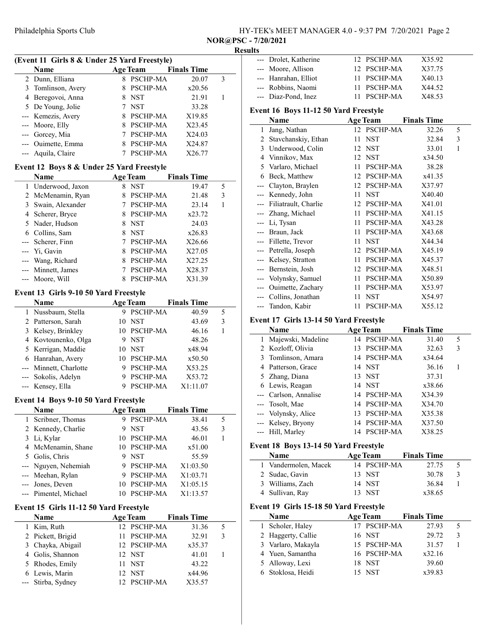|                                     | HY-TEK's MEET MANAGER 4.0 - 9:37 PM 7/20/2021 Page 2 |  |  |
|-------------------------------------|------------------------------------------------------|--|--|
| $P \cap P \cap C$ $P \cap P \cap P$ |                                                      |  |  |

NOR@PSC - 7/20/2021

### Results

| (Event 11 Girls 8 & Under 25 Yard Freestyle) |                    |  |                 |                    |   |
|----------------------------------------------|--------------------|--|-----------------|--------------------|---|
|                                              | Name               |  | <b>Age Team</b> | <b>Finals Time</b> |   |
|                                              | 2 Dunn, Elliana    |  | <b>PSCHP-MA</b> | 20.07              | 3 |
|                                              | 3 Tomlinson, Avery |  | 8 PSCHP-MA      | x20.56             |   |
|                                              | 4 Beregovoi, Anna  |  | <b>NST</b>      | 21.91              |   |
|                                              | 5 De Young, Jolie  |  | <b>NST</b>      | 33.28              |   |
|                                              | --- Kemezis, Avery |  | <b>PSCHP-MA</b> | X19.85             |   |
|                                              | --- Moore, Elly    |  | PSCHP-MA        | X23.45             |   |
|                                              | --- Gorcey, Mia    |  | <b>PSCHP-MA</b> | X24.03             |   |
|                                              | --- Ouimette, Emma |  | <b>PSCHP-MA</b> | X24.87             |   |
|                                              | --- Aquila, Claire |  | PSCHP-MA        | X26.77             |   |

#### Event 12 Boys 8 & Under 25 Yard Freestyle

| Name               |   | <b>Age Team</b> | <b>Finals Time</b> |   |
|--------------------|---|-----------------|--------------------|---|
| 1 Underwood, Jaxon | 8 | <b>NST</b>      | 19.47              | 5 |
| 2 McMenamin, Ryan  | 8 | <b>PSCHP-MA</b> | 21.48              | 3 |
| 3 Swain, Alexander |   | PSCHP-MA        | 23.14              |   |
| 4 Scherer, Bryce   |   | 8 PSCHP-MA      | x23.72             |   |
| 5 Nader, Hudson    |   | 8 NST           | 24.03              |   |
| 6 Collins, Sam     | 8 | NST             | x26.83             |   |
| --- Scherer, Finn  |   | <b>PSCHP-MA</b> | X26.66             |   |
| --- Yi, Gavin      | 8 | PSCHP-MA        | X27.05             |   |
| --- Wang, Richard  | 8 | <b>PSCHP-MA</b> | X27.25             |   |
| --- Minnett, James |   | PSCHP-MA        | X28.37             |   |
| --- Moore, Will    |   | <b>PSCHP-MA</b> | X31.39             |   |

## Event 13 Girls 9-10 50 Yard Freestyle

| <b>Name</b>            |    | <b>Age Team</b> | <b>Finals Time</b> |   |
|------------------------|----|-----------------|--------------------|---|
| 1 Nussbaum, Stella     |    | <b>PSCHP-MA</b> | 40.59              | 5 |
| 2 Patterson, Sarah     | 10 | <b>NST</b>      | 43.69              | 3 |
| 3 Kelsey, Brinkley     |    | 10 PSCHP-MA     | 46.16              |   |
| 4 Kovtounenko, Olga    |    | <b>NST</b>      | 48.26              |   |
| 5 Kerrigan, Maddie     | 10 | <b>NST</b>      | x48.94             |   |
| 6 Hanrahan, Avery      |    | 10 PSCHP-MA     | x50.50             |   |
| --- Minnett, Charlotte |    | <b>PSCHP-MA</b> | X53.25             |   |
| --- Sokolis, Adelyn    |    | <b>PSCHP-MA</b> | X53.72             |   |
| --- Kensey, Ella       |    | PSCHP-MA        | X1:11.07           |   |

#### Event 14 Boys 9-10 50 Yard Freestyle

| <b>Name</b>           |    | <b>Age Team</b> | <b>Finals Time</b> |   |
|-----------------------|----|-----------------|--------------------|---|
|                       |    |                 |                    |   |
| 1 Scribner, Thomas    | 9  | <b>PSCHP-MA</b> | 38.41              | 5 |
| 2 Kennedy, Charlie    |    | <b>NST</b>      | 43.56              | 3 |
| 3 Li, Kylar           |    | 10 PSCHP-MA     | 46.01              |   |
| 4 McMenamin, Shane    |    | 10 PSCHP-MA     | x51.00             |   |
| 5 Golis, Chris        |    | <b>NST</b>      | 55.59              |   |
| --- Nguyen, Nehemiah  |    | PSCHP-MA        | X1:03.50           |   |
| --- Meehan, Rylan     |    | PSCHP-MA        | X1:03.71           |   |
| --- Jones, Deven      |    | 10 PSCHP-MA     | X1:05.15           |   |
| --- Pimentel, Michael | 10 | PSCHP-MA        | X1:13.57           |   |

#### Event 15 Girls 11-12 50 Yard Freestyle

L.

| Name               | <b>Age Team</b> |             | <b>Finals Time</b> |   |  |
|--------------------|-----------------|-------------|--------------------|---|--|
| 1 Kim, Ruth        |                 | 12 PSCHP-MA | 31.36              | 5 |  |
| 2 Pickett, Brigid  |                 | 11 PSCHP-MA | 32.91              | 3 |  |
| 3 Chayka, Abigail  |                 | 12 PSCHP-MA | x35.37             |   |  |
| 4 Golis, Shannon   | 12 NST          |             | 41.01              |   |  |
| 5 Rhodes, Emily    | 11 NST          |             | 43.22              |   |  |
| 6 Lewis, Marin     | 12 NST          |             | x44.96             |   |  |
| --- Stirba, Sydney |                 | 12 PSCHP-MA | X35.57             |   |  |

| --- Drolet, Katherine | 12 PSCHP-MA | X35.92 |
|-----------------------|-------------|--------|
| --- Moore, Allison    | 12 PSCHP-MA | X37.75 |
| --- Hanrahan, Elliot  | 11 PSCHP-MA | X40.13 |
| --- Robbins, Naomi    | 11 PSCHP-MA | X44.52 |
| --- Diaz-Pond, Inez   | 11 PSCHP-MA | X48.53 |

### Event 16 Boys 11-12 50 Yard Freestyle

|       | Name                                   |    | <b>Age Team</b> | <b>Finals Time</b> |   |
|-------|----------------------------------------|----|-----------------|--------------------|---|
| 1     | Jang, Nathan                           |    | 12 PSCHP-MA     | 32.26              | 5 |
| 2     | Stavchanskiy, Ethan                    | 11 | <b>NST</b>      | 32.84              | 3 |
| 3     | Underwood, Colin                       |    | 12 NST          | 33.01              | 1 |
| 4     | Vinnikov, Max                          | 12 | <b>NST</b>      | x34.50             |   |
| 5     | Varlaro, Michael                       | 11 | PSCHP-MA        | 38.28              |   |
| 6     | Beck, Matthew                          |    | 12 PSCHP-MA     | x41.35             |   |
| ---   | Clayton, Braylen                       |    | 12 PSCHP-MA     | X37.97             |   |
| $---$ | Kennedy, John                          | 11 | <b>NST</b>      | X40.40             |   |
| $---$ | Filiatrault, Charlie                   | 12 | <b>PSCHP-MA</b> | X41.01             |   |
|       | Zhang, Michael                         | 11 | PSCHP-MA        | X41.15             |   |
| ---   | Li, Tysan                              | 11 | PSCHP-MA        | X43.28             |   |
|       | --- Braun, Jack                        | 11 | PSCHP-MA        | X43.68             |   |
| $---$ | Fillette, Trevor                       | 11 | <b>NST</b>      | X44.34             |   |
| $---$ | Petrella, Joseph                       | 12 | <b>PSCHP-MA</b> | X45.19             |   |
|       | Kelsey, Stratton                       | 11 | PSCHP-MA        | X45.37             |   |
| $---$ | Bernstein, Josh                        | 12 | <b>PSCHP-MA</b> | X48.51             |   |
|       | Volynsky, Samuel                       | 11 | PSCHP-MA        | X50.89             |   |
| $---$ | Ouimette, Zachary                      |    | 11 PSCHP-MA     | X53.97             |   |
|       | Collins, Jonathan                      | 11 | <b>NST</b>      | X54.97             |   |
|       | --- Tandon, Kabir                      | 11 | PSCHP-MA        | X55.12             |   |
|       | Event 17 Girls 13-14 50 Yard Freestyle |    |                 |                    |   |
|       | Name                                   |    | <b>Age Team</b> | <b>Finals Time</b> |   |
|       | Majewski Madeline                      |    | 14 PSCHP-MA     | 31.40              | 5 |

### Majewski, Madeline 14 PSCHP-MA 31.40 2 Kozloff, Olivia 13 PSCHP-MA 32.63 3 3 Tomlinson, Amara 14 PSCHP-MA x34.64 4 36.16 1 Patterson, Grace 14 NST 5 37.31 Zhang, Diana 13 NST 6 x38.66 Lewis, Reagan 14 NST --- Carlson, Annalise 14 PSCHP-MA X34.39 --- Tosolt, Mae 14 PSCHP-MA X34.70 --- Volynsky, Alice 13 PSCHP-MA X35.38 --- Kelsey, Bryony 14 PSCHP-MA X37.50 --- Hill, Marley 14 PSCHP-MA X38.25

# Event 18 Boys 13-14 50 Yard Freestyle

| Event 18 Boys 15-14 Sulfard Preestyle |                                        |                 |                    |   |  |  |  |  |
|---------------------------------------|----------------------------------------|-----------------|--------------------|---|--|--|--|--|
|                                       | <b>Name</b>                            | <b>Age Team</b> | <b>Finals Time</b> |   |  |  |  |  |
|                                       | 1 Vandermolen, Macek                   | 14 PSCHP-MA     | 27.75              | 5 |  |  |  |  |
|                                       | 2 Sudac, Gavin                         | 13 NST          | 30.78              | 3 |  |  |  |  |
| 3                                     | Williams, Zach                         | 14 NST          | 36.84              |   |  |  |  |  |
|                                       | 4 Sullivan, Ray                        | 13 NST          | x38.65             |   |  |  |  |  |
|                                       | Event 19 Girls 15-18 50 Yard Freestyle |                 |                    |   |  |  |  |  |
|                                       | <b>Name</b>                            | <b>Age Team</b> | <b>Finals Time</b> |   |  |  |  |  |
| 1.                                    | Scholer, Haley                         | 17 PSCHP-MA     | 27.93              | 5 |  |  |  |  |
|                                       | 2 Haggerty, Callie                     | 16 NST          | 29.72              | 3 |  |  |  |  |
|                                       |                                        |                 |                    |   |  |  |  |  |
|                                       | 3 Varlaro, Makayla                     | 15 PSCHP-MA     | 31.57              |   |  |  |  |  |
|                                       | 4 Yuen, Samantha                       | 16 PSCHP-MA     | x32.16             |   |  |  |  |  |

6 x39.83 Stoklosa, Heidi 15 NST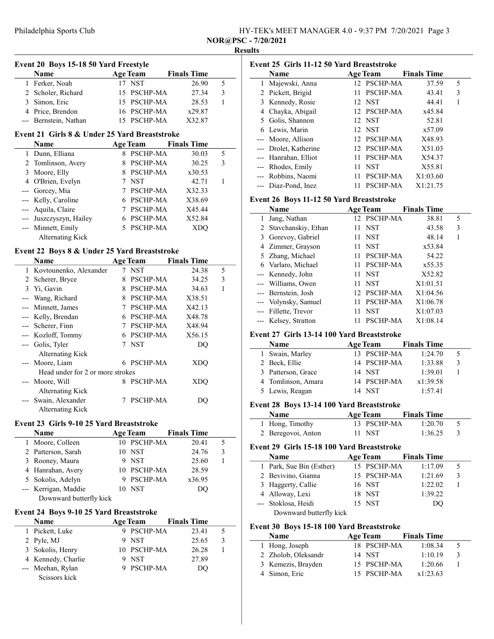|                                                                                                                                    | HY-TEK's MEET MANAGER 4.0 - 9:37 PM 7/20/2021 Page 3 |  |  |
|------------------------------------------------------------------------------------------------------------------------------------|------------------------------------------------------|--|--|
| $\mathbf{D}\cap\mathbf{D}\cap\mathbf{C}$ $\blacksquare$ $\blacksquare$ $\blacksquare$ $\blacksquare$ $\blacksquare$ $\blacksquare$ |                                                      |  |  |

NOR@PSC - 7/20/2021 Results

## Event 20 Boys 15-18 50 Yard Freestyle Name Age Team Finals Time<br>Ferker, Noah 17 NST 26.90 1 Ferker, Noah 17 NST 26.90 5<br>2 Scholer, Richard 15 PSCHP-MA 27.34 3 2 Scholer, Richard 15 PSCHP-MA 3 Simon, Eric 15 PSCHP-MA 28.53 1 4 Price, Brendon 16 PSCHP-MA  $x29.87$ --- Bernstein, Nathan 15 PSCHP-MA X32.87 Event 21 Girls 8 & Under 25 Yard Breaststroke Name Age Team Finals Time 1 30.03 5 Dunn, Elliana 8 PSCHP-MA 2 Tomlinson, Avery 8 PSCHP-MA 30.25 3 3 x30.53 Moore, Elly 8 PSCHP-MA 4 0'Brien, Evelyn 7 NST 42.71 1<br>-- Gorcey, Mia 7 PSCHP-MA X32.33 --- Gorcey, Mia 7 PSCHP-MA --- Kelly, Caroline 6 PSCHP-MA X38.69

| --- Aquila, Claire      | 7 PSCHP-MA | X45.44 |  |
|-------------------------|------------|--------|--|
| --- Juszczyszyn, Hailey | 6 PSCHP-MA | X52.84 |  |
| --- Minnett, Emily      | 5 PSCHP-MA | XDO    |  |
| Alternating Kick        |            |        |  |

## Event 22 Boys 8 & Under 25 Yard Breaststroke

|              | Name                             |   | <b>Age Team</b> | <b>Finals Time</b> |   |
|--------------|----------------------------------|---|-----------------|--------------------|---|
| $\mathbf{1}$ | Kovtounenko, Alexander           |   | <b>NST</b>      | 24.38              | 5 |
| 2            | Scherer, Bryce                   | 8 | PSCHP-MA        | 34.25              | 3 |
| 3            | Yi, Gavin                        | 8 | <b>PSCHP-MA</b> | 34.63              | 1 |
|              | Wang, Richard                    | 8 | PSCHP-MA        | X38.51             |   |
|              | --- Minnett, James               | 7 | PSCHP-MA        | X42.13             |   |
|              | --- Kelly, Brendan               | 6 | <b>PSCHP-MA</b> | X48.78             |   |
|              | --- Scherer, Finn                | 7 | PSCHP-MA        | X48.94             |   |
|              | --- Kozloff, Tommy               | 6 | PSCHP-MA        | X56.15             |   |
|              | --- Golis, Tyler                 | 7 | <b>NST</b>      | DO                 |   |
|              | <b>Alternating Kick</b>          |   |                 |                    |   |
|              | --- Moore, Liam                  | 6 | PSCHP-MA        | XDO                |   |
|              | Head under for 2 or more strokes |   |                 |                    |   |
|              | --- Moore, Will                  | 8 | <b>PSCHP-MA</b> | XDO                |   |
|              | <b>Alternating Kick</b>          |   |                 |                    |   |
|              | --- Swain, Alexander             |   | <b>PSCHP-MA</b> | DO                 |   |
|              | Alternating Kick                 |   |                 |                    |   |

## Event 23 Girls 9-10 25 Yard Breaststroke

| Name                    |    | <b>Age Team</b> | <b>Finals Time</b> |   |  |
|-------------------------|----|-----------------|--------------------|---|--|
| 1 Moore, Colleen        |    | 10 PSCHP-MA     | 20.41              | 5 |  |
| 2 Patterson, Sarah      |    | 10 NST          | 24.76              | 3 |  |
| 3 Rooney, Maura         | 9. | <b>NST</b>      | 25.60              |   |  |
| 4 Hanrahan, Avery       |    | 10 PSCHP-MA     | 28.59              |   |  |
| 5 Sokolis, Adelyn       |    | 9 PSCHP-MA      | x36.95             |   |  |
| --- Kerrigan, Maddie    |    | 10 NST          | DO.                |   |  |
| Downward butterfly kick |    |                 |                    |   |  |

### Event 24 Boys 9-10 25 Yard Breaststroke

| <b>Name</b>        | <b>Age Team</b> | <b>Finals Time</b> |       |   |
|--------------------|-----------------|--------------------|-------|---|
| 1 Pickett, Luke    | 9 PSCHP-MA      |                    | 23.41 |   |
| 2 Pyle, MJ         | 9 NST           |                    | 25.65 | 3 |
| 3 Sokolis, Henry   | 10 PSCHP-MA     |                    | 26.28 |   |
| 4 Kennedy, Charlie | 9 NST           |                    | 27.89 |   |
| --- Meehan, Rylan  | 9 PSCHP-MA      |                    | DO.   |   |
| Scissors kick      |                 |                    |       |   |

| Event 25 Girls 11-12 50 Yard Breaststroke |                                            |    |                           |                      |                   |  |
|-------------------------------------------|--------------------------------------------|----|---------------------------|----------------------|-------------------|--|
|                                           | Name                                       |    | <b>Age Team</b>           | <b>Finals Time</b>   |                   |  |
| 1                                         | Majewski, Anna                             |    | 12 PSCHP-MA               | 37.59                | 5                 |  |
|                                           | 2 Pickett, Brigid                          | 11 | PSCHP-MA                  | 43.41                | 3                 |  |
|                                           | 3 Kennedy, Rosie                           |    | 12 NST                    | 44.41                | 1                 |  |
|                                           | 4 Chayka, Abigail                          |    | 12 PSCHP-MA               | x45.84               |                   |  |
|                                           | 5 Golis, Shannon                           |    | 12 NST                    | 52.81                |                   |  |
|                                           | 6 Lewis, Marin                             |    | 12 NST                    | x57.09               |                   |  |
| ---                                       | Moore, Allison                             | 12 | PSCHP-MA                  | X48.93               |                   |  |
| ---                                       | Drolet, Katherine                          |    | 12 PSCHP-MA               | X51.03               |                   |  |
| $---$                                     | Hanrahan, Elliot                           | 11 | PSCHP-MA                  | X54.37               |                   |  |
| ---                                       | Rhodes, Emily                              | 11 | <b>NST</b>                | X55.81               |                   |  |
|                                           | --- Robbins, Naomi                         | 11 | PSCHP-MA                  | X1:03.60             |                   |  |
|                                           | --- Diaz-Pond, Inez                        | 11 | PSCHP-MA                  | X1:21.75             |                   |  |
|                                           |                                            |    |                           |                      |                   |  |
|                                           | Event 26 Boys 11-12 50 Yard Breaststroke   |    |                           |                      |                   |  |
|                                           | Name                                       |    | <b>Age Team</b>           | <b>Finals Time</b>   |                   |  |
| 1                                         | Jang, Nathan                               |    | 12 PSCHP-MA               | 38.81                | 5                 |  |
| 2<br>$\mathfrak{Z}$                       | Stavchanskiy, Ethan<br>Gorevoy, Gabriel    | 11 | <b>NST</b><br><b>NST</b>  | 43.58                | 3<br>$\mathbf{1}$ |  |
| $\overline{4}$                            |                                            | 11 |                           | 48.14                |                   |  |
| 5                                         | Zimmer, Grayson<br>Zhang, Michael          |    | 11 NST<br>11 PSCHP-MA     | x53.84<br>54.22      |                   |  |
|                                           |                                            |    |                           |                      |                   |  |
|                                           | 6 Varlaro, Michael                         | 11 | PSCHP-MA                  | x55.35               |                   |  |
| ---                                       | Kennedy, John                              | 11 | <b>NST</b>                | X52.82               |                   |  |
| ---                                       | Williams, Owen                             | 11 | <b>NST</b>                | X1:01.51<br>X1:04.56 |                   |  |
| ---                                       | Bernstein, Josh                            |    | 12 PSCHP-MA               |                      |                   |  |
|                                           | --- Volynsky, Samuel                       |    | 11 PSCHP-MA<br><b>NST</b> | X1:06.78             |                   |  |
|                                           | --- Fillette, Trevor                       | 11 |                           | X1:07.03             |                   |  |
|                                           | --- Kelsey, Stratton                       | 11 | PSCHP-MA                  | X1:08.14             |                   |  |
|                                           | Event 27 Girls 13-14 100 Yard Breaststroke |    |                           |                      |                   |  |
|                                           | Name                                       |    | <b>Age Team</b>           | <b>Finals Time</b>   |                   |  |
| $\mathbf{1}$                              | Swain, Marley                              |    | 13 PSCHP-MA               | 1:24.70              | 5                 |  |
|                                           | 2 Beck, Ellie                              |    | 14 PSCHP-MA               | 1:33.88              | 3                 |  |
| 3                                         | Patterson, Grace                           |    | 14 NST                    | 1:39.01              | $\mathbf{1}$      |  |
| $\overline{4}$                            | Tomlinson, Amara                           |    | 14 PSCHP-MA               | x1:39.58             |                   |  |

## Event 28 Boys 13-14 100 Yard Breaststroke

| <b>Name</b>        | Age Team    | <b>Finals Time</b> |  |
|--------------------|-------------|--------------------|--|
| 1 Hong, Timothy    | 13 PSCHP-MA | 1:20.70            |  |
| 2 Beregovoi, Anton | 11 NST      | 1:36.25            |  |

5 1:57.41 Lewis, Reagan 14 NST

#### Event 29 Girls 15-18 100 Yard Breaststroke

| Name                     | <b>Age Team</b> | <b>Finals Time</b> |  |
|--------------------------|-----------------|--------------------|--|
| 1 Park, Sue Bin (Esther) | 15 PSCHP-MA     | 1:17.09            |  |
| 2 Bevivino, Gianna       | 15 PSCHP-MA     | 1:21.69            |  |
| 3 Haggerty, Callie       | 16 NST          | 1:22.02            |  |
| 4 Alloway, Lexi          | 18 NST          | 1:39.22            |  |
| --- Stoklosa, Heidi      | 15 NST          | DO.                |  |
| Downward butterfly kick  |                 |                    |  |

### Event 30 Boys 15-18 100 Yard Breaststroke

| <b>Name</b>         | <b>Age Team</b> | <b>Finals Time</b> |   |
|---------------------|-----------------|--------------------|---|
| 1 Hong, Joseph      | 18 PSCHP-MA     | 1:08.34            | 5 |
| 2 Zholob, Oleksandr | 14 NST          | 1:10.19            | 3 |
| 3 Kemezis, Brayden  | 15 PSCHP-MA     | 1:20.66            |   |
| 4 Simon, Eric       | 15 PSCHP-MA     | x1:23.63           |   |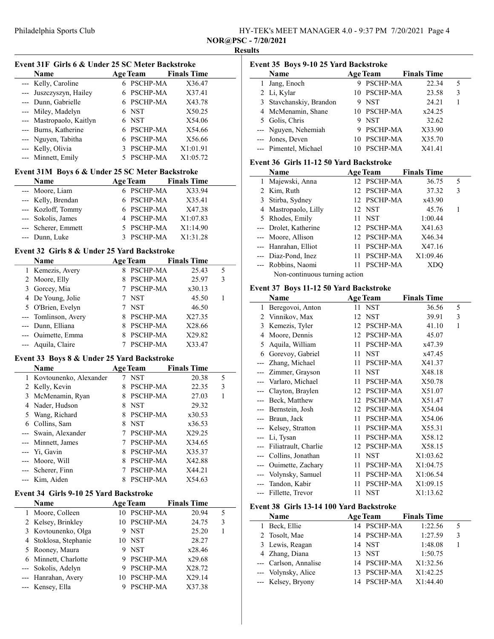| HY-TEK's MEET MANAGER 4.0 - 9:37 PM 7/20/2021 Page 4                                          |  |
|-----------------------------------------------------------------------------------------------|--|
| $\mathbf{B} \cap \mathbf{B}$ $\mathbf{B}$ $\mathbf{B}$ $\mathbf{A}$ $\mathbf{A}$ $\mathbf{A}$ |  |

NOR@PSC - 7/20/2021

 $\overline{a}$ 

# Results Event 31F Girls 6 & Under 25 SC Meter Backstroke Name Age Team Finals Time<br>Kelly, Caroline 6 PSCHP-MA X36.47 --- Kelly, Caroline 6 PSCHP-MA X36.47

| --- Juszczyszyn, Hailey                         | 6 | <b>PSCHP-MA</b> | X37.41             |  |
|-------------------------------------------------|---|-----------------|--------------------|--|
| --- Dunn, Gabrielle                             | 6 | PSCHP-MA        | X43.78             |  |
| --- Miley, Madelyn                              | 6 | <b>NST</b>      | X50.25             |  |
| --- Mastropaolo, Kaitlyn                        | 6 | <b>NST</b>      | X54.06             |  |
| --- Burns, Katherine                            | 6 | PSCHP-MA        | X54.66             |  |
| --- Nguyen, Tabitha                             | 6 | PSCHP-MA        | X56.66             |  |
| --- Kelly, Olivia                               | 3 | PSCHP-MA        | X1:01.91           |  |
|                                                 |   |                 |                    |  |
| --- Minnett, Emily                              | 5 | PSCHP-MA        | X1:05.72           |  |
| Event 31M Boys 6 & Under 25 SC Meter Backstroke |   |                 |                    |  |
| Name                                            |   | <b>Age Team</b> | <b>Finals Time</b> |  |
| --- Moore, Liam                                 | 6 | <b>PSCHP-MA</b> | X33.94             |  |
| --- Kelly, Brendan                              | 6 | PSCHP-MA        | X35.41             |  |
| --- Kozloff, Tommy                              | 6 | PSCHP-MA        | X47.38             |  |
| --- Sokolis, James                              | 4 | PSCHP-MA        | X1:07.83           |  |
| --- Scherer, Emmett                             | 5 | <b>PSCHP-MA</b> | X1:14.90           |  |

### Event 32 Girls 8 & Under 25 Yard Backstroke

|   | <b>Name</b>          |   | <b>Age Team</b> | <b>Finals Time</b> |   |
|---|----------------------|---|-----------------|--------------------|---|
|   | 1 Kemezis, Avery     | 8 | <b>PSCHP-MA</b> | 25.43              | 5 |
|   | 2 Moore, Elly        |   | <b>PSCHP-MA</b> | 25.97              | 3 |
| 3 | Gorcey, Mia          |   | <b>PSCHP-MA</b> | x30.13             |   |
|   | 4 De Young, Jolie    |   | <b>NST</b>      | 45.50              |   |
|   | 5 O'Brien, Evelyn    |   | <b>NST</b>      | 46.50              |   |
|   | --- Tomlinson, Avery | 8 | <b>PSCHP-MA</b> | X27.35             |   |
|   | --- Dunn, Elliana    | 8 | <b>PSCHP-MA</b> | X28.66             |   |
|   | --- Ouimette, Emma   |   | <b>PSCHP-MA</b> | X29.82             |   |
|   | --- Aquila, Claire   |   | PSCHP-MA        | X33.47             |   |

#### Event 33 Boys 8 & Under 25 Yard Backstroke

|   | <b>Name</b>              |   | <b>Age Team</b> | <b>Finals Time</b> |   |  |
|---|--------------------------|---|-----------------|--------------------|---|--|
|   | 1 Kovtounenko, Alexander |   | <b>NST</b>      | 20.38              | 5 |  |
|   | 2 Kelly, Kevin           |   | <b>PSCHP-MA</b> | 22.35              | 3 |  |
|   | 3 McMenamin, Ryan        | 8 | <b>PSCHP-MA</b> | 27.03              | 1 |  |
|   | 4 Nader, Hudson          | 8 | <b>NST</b>      | 29.32              |   |  |
|   | 5 Wang, Richard          | 8 | <b>PSCHP-MA</b> | x30.53             |   |  |
| 6 | Collins, Sam             | 8 | <b>NST</b>      | x36.53             |   |  |
|   | --- Swain, Alexander     |   | <b>PSCHP-MA</b> | X29.25             |   |  |
|   | --- Minnett, James       |   | <b>PSCHP-MA</b> | X34.65             |   |  |
|   | --- Yi, Gavin            | 8 | <b>PSCHP-MA</b> | X35.37             |   |  |
|   | --- Moore, Will          | 8 | <b>PSCHP-MA</b> | X42.88             |   |  |
|   | --- Scherer, Finn        |   | PSCHP-MA        | X44.21             |   |  |
|   | --- Kim, Aiden           |   | PSCHP-MA        | X54.63             |   |  |

# Event 34 Girls 9-10 25 Yard Backstroke

| Name                  | <b>Age Team</b> |                 | <b>Finals Time</b> |   |
|-----------------------|-----------------|-----------------|--------------------|---|
| Moore, Colleen        |                 | 10 PSCHP-MA     | 20.94              | 5 |
| 2 Kelsey, Brinkley    |                 | <b>PSCHP-MA</b> | 24.75              | 3 |
| 3 Kovtounenko, Olga   | 9               | <b>NST</b>      | 25.20              |   |
| 4 Stoklosa, Stephanie |                 | 10 NST          | 28.27              |   |
| 5 Rooney, Maura       |                 | <b>NST</b>      | x28.46             |   |
| 6 Minnett, Charlotte  | 9               | <b>PSCHP-MA</b> | x29.68             |   |
| --- Sokolis, Adelyn   | 9               | <b>PSCHP-MA</b> | X28.72             |   |
| --- Hanrahan, Avery   | 10              | <b>PSCHP-MA</b> | X29.14             |   |
| --- Kensey, Ella      |                 | PSCHP-MA        | X37.38             |   |

| Event 35 Boys 9-10 25 Yard Backstroke |                                                                                                                                                     |  |                                   |                                                                                      |
|---------------------------------------|-----------------------------------------------------------------------------------------------------------------------------------------------------|--|-----------------------------------|--------------------------------------------------------------------------------------|
| Name                                  |                                                                                                                                                     |  | <b>Finals Time</b>                |                                                                                      |
| Jang, Enoch                           |                                                                                                                                                     |  | 22.34                             | 5                                                                                    |
|                                       |                                                                                                                                                     |  | 23.58                             | 3                                                                                    |
|                                       |                                                                                                                                                     |  | 24.21                             |                                                                                      |
|                                       |                                                                                                                                                     |  | x24.25                            |                                                                                      |
|                                       |                                                                                                                                                     |  | 32.62                             |                                                                                      |
|                                       |                                                                                                                                                     |  | X33.90                            |                                                                                      |
|                                       |                                                                                                                                                     |  | X35.70                            |                                                                                      |
|                                       |                                                                                                                                                     |  | X41.41                            |                                                                                      |
|                                       | 2 Li, Kylar<br>3 Stavchanskiy, Brandon<br>4 McMenamin, Shane<br>5 Golis, Chris<br>--- Nguyen, Nehemiah<br>--- Jones, Deven<br>--- Pimentel, Michael |  | <b>Age Team</b><br>9 NST<br>9 NST | 9 PSCHP-MA<br>10 PSCHP-MA<br>10 PSCHP-MA<br>9 PSCHP-MA<br>10 PSCHP-MA<br>10 PSCHP-MA |

## Event 36 Girls 11-12 50 Yard Backstroke

| Name                          |     | <b>Age Team</b> | <b>Finals Time</b> |   |
|-------------------------------|-----|-----------------|--------------------|---|
| 1 Majewski, Anna              |     | 12 PSCHP-MA     | 36.75              | 5 |
| 2 Kim, Ruth                   |     | 12 PSCHP-MA     | 37.32              | 3 |
| 3 Stirba, Sydney              |     | 12 PSCHP-MA     | x43.90             |   |
| 4 Mastropaolo, Lilly          |     | 12 NST          | 45.76              |   |
| 5 Rhodes, Emily               | 11. | <b>NST</b>      | 1:00.44            |   |
| --- Drolet, Katherine         |     | 12 PSCHP-MA     | X41.63             |   |
| --- Moore, Allison            |     | 12 PSCHP-MA     | X46.34             |   |
| --- Hanrahan, Elliot          |     | 11 PSCHP-MA     | X47.16             |   |
| --- Diaz-Pond, Inez           | 11  | PSCHP-MA        | X1:09.46           |   |
| --- Robbins, Naomi            | 11  | <b>PSCHP-MA</b> |                    |   |
| Non-continuous turning action |     |                 |                    |   |

# Event 37 Boys 11-12 50 Yard Backstroke

|     | Name                 |    | <b>Age Team</b> | <b>Finals Time</b> |   |
|-----|----------------------|----|-----------------|--------------------|---|
| 1   | Beregovoi, Anton     |    | 11 NST          | 36.56              | 5 |
| 2   | Vinnikov, Max        | 12 | <b>NST</b>      | 39.91              | 3 |
| 3   | Kemezis, Tyler       | 12 | <b>PSCHP-MA</b> | 41.10              | 1 |
| 4   | Moore, Dennis        | 12 | PSCHP-MA        | 45.07              |   |
| 5   | Aquila, William      | 11 | PSCHP-MA        | x47.39             |   |
| 6   | Gorevoy, Gabriel     | 11 | <b>NST</b>      | x47.45             |   |
|     | Zhang, Michael       | 11 | PSCHP-MA        | X41.37             |   |
|     | Zimmer, Grayson      | 11 | <b>NST</b>      | X48.18             |   |
|     | --- Varlaro, Michael | 11 | PSCHP-MA        | X50.78             |   |
|     | Clayton, Braylen     | 12 | <b>PSCHP-MA</b> | X51.07             |   |
|     | Beck, Matthew        | 12 | PSCHP-MA        | X51.47             |   |
|     | --- Bernstein, Josh  | 12 | <b>PSCHP-MA</b> | X54.04             |   |
|     | Braun, Jack          | 11 | PSCHP-MA        | X54.06             |   |
|     | --- Kelsey, Stratton | 11 | PSCHP-MA        | X55.31             |   |
|     | --- Li, Tysan        | 11 | PSCHP-MA        | X58.12             |   |
|     | Filiatrault, Charlie | 12 | <b>PSCHP-MA</b> | X58.15             |   |
|     | Collins, Jonathan    | 11 | <b>NST</b>      | X1:03.62           |   |
| --- | Ouimette, Zachary    | 11 | PSCHP-MA        | X1:04.75           |   |
|     | Volynsky, Samuel     | 11 | PSCHP-MA        | X1:06.54           |   |
|     | Tandon, Kabir        | 11 | PSCHP-MA        | X1:09.15           |   |
|     | Fillette, Trevor     | 11 | <b>NST</b>      | X1:13.62           |   |
|     |                      |    |                 |                    |   |

## Event 38 Girls 13-14 100 Yard Backstroke

| <b>Name</b>           | <b>Age Team</b> | <b>Finals Time</b> |               |
|-----------------------|-----------------|--------------------|---------------|
| 1 Beck, Ellie         | 14 PSCHP-MA     | 1:22.56            | 5             |
| 2 Tosolt, Mae         | 14 PSCHP-MA     | 1:27.59            | $\mathcal{E}$ |
| 3 Lewis, Reagan       | 14 NST          | 1:48.08            |               |
| 4 Zhang, Diana        | 13 NST          | 1:50.75            |               |
| --- Carlson, Annalise | 14 PSCHP-MA     | X1:32.56           |               |
| --- Volynsky, Alice   | 13 PSCHP-MA     | X1:42.25           |               |
| --- Kelsey, Bryony    | 14 PSCHP-MA     | X1:44.40           |               |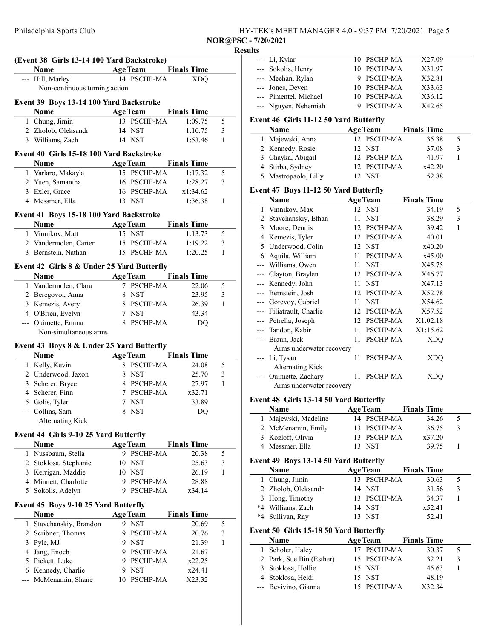| HY-TEK's MEET MANAGER 4.0 - 9:37 PM 7/20/2021 Page 5 |
|------------------------------------------------------|
|------------------------------------------------------|

NOR@PSC - 7/20/2021

# Philadelphia Sports Club Results (Event 38 Girls 13-14 100 Yard Backstroke) --- Li, Kylar 10 PSCHP-MA X27.09 Name Age Team Finals Time --- Hill, Marley 14 PSCHP-MA XDQ Non-continuous turning action Event 39 Boys 13-14 100 Yard Backstroke Name Age Team Finals Time 1 Chung, Jimin 13 PSCHP-MA 1:09.75 5 2 Zholob, Oleksandr 14 NST 1:10.75 3 3 Williams, Zach 14 NST 1:53.46 1 Event 40 Girls 15-18 100 Yard Backstroke Name Age Team Finals Time 1 Varlaro, Makayla 15 PSCHP-MA 1:17.32 5 2 Yuen, Samantha 16 PSCHP-MA 1:28.27 3 3 x1:34.62 Exler, Grace 16 PSCHP-MA 4 1:36.38 1 Messmer, Ella 13 NST Event 41 Boys 15-18 100 Yard Backstroke Name Age Team Finals Time 1 Vinnikov, Matt 15 NST 1:13.73 5 2 Vandermolen, Carter 15 PSCHP-MA 1:19.22 3<br>3 Bernstein, Nathan 15 PSCHP-MA 1:20.25 1 3 Bernstein, Nathan 15 PSCHP-MA Event 42 Girls 8 & Under 25 Yard Butterfly Name Age Team Finals Time 1 Vandermolen, Clara 7 PSCHP-MA 22.06 5 2 Beregovoi, Anna 8 NST 23.95 3 3 Kemezis, Avery 8 PSCHP-MA  $26.39$  1 4 43.34 O'Brien, Evelyn 7 NST --- Ouimette, Emma 8 PSCHP-MA DO Non-simultaneous arms Event 43 Boys 8 & Under 25 Yard Butterfly Name Age Team Finals Time 1 Kelly, Kevin 8 PSCHP-MA 24.08 5 2 Underwood, Jaxon 8 NST 25.70 3 3 Scherer, Bryce 8 PSCHP-MA 27.97 1 4 Scherer, Finn 7 PSCHP-MA  $x32.71$ 5 Golis, Tyler 7 NST 33.89 --- Collins, Sam 8 NST DQ Alternating Kick Event 44 Girls 9-10 25 Yard Butterfly Name Age Team Finals Time 1 Nussbaum, Stella 9 PSCHP-MA 20.38 5 2 25.63 3 Stoklosa, Stephanie 10 NST 3 26.19 1 Kerrigan, Maddie 10 NST  $\overline{a}$ 4 Minnett, Charlotte 9 PSCHP-MA 28.88 5 Sokolis, Adelyn 9 PSCHP-MA x34.14 Event 45 Boys 9-10 25 Yard Butterfly Name **Age Team** Finals Time 1 Stavchanskiy, Brandon 9 NST 20.69 5 2 Scribner, Thomas 9 PSCHP-MA 20.76 3 3 Pyle, MJ 9 NST 21.39 1  $\overline{\phantom{0}}$ 4 21.67 Jang, Enoch 9 PSCHP-MA 5 Pickett, Luke 9 PSCHP-MA  $x22.25$ 6 x24.41 Kennedy, Charlie 9 NST --- McMenamin, Shane 10 PSCHP-MA X23.32

|                | Sokolis, Henry                                | 10 | PSCHP-MA        | X31.97             |                |
|----------------|-----------------------------------------------|----|-----------------|--------------------|----------------|
| ---            | Meehan, Rylan                                 | 9  | PSCHP-MA        | X32.81             |                |
| ---            | Jones, Deven                                  |    | 10 PSCHP-MA     | X33.63             |                |
|                | --- Pimentel, Michael                         |    | 10 PSCHP-MA     | X36.12             |                |
| $---$          | Nguyen, Nehemiah                              |    | 9 PSCHP-MA      | X42.65             |                |
|                | <b>Event 46 Girls 11-12 50 Yard Butterfly</b> |    |                 |                    |                |
|                | Name                                          |    | <b>Age Team</b> | <b>Finals Time</b> |                |
| $\mathbf{1}$   | Majewski, Anna                                |    | 12 PSCHP-MA     | 35.38              | 5              |
|                | 2 Kennedy, Rosie                              | 12 | <b>NST</b>      | 37.08              | $\mathfrak{Z}$ |
| 3              | Chayka, Abigail                               | 12 | PSCHP-MA        | 41.97              | $\mathbf{1}$   |
| $\overline{4}$ | Stirba, Sydney                                |    | 12 PSCHP-MA     | x42.20             |                |
| 5              | Mastropaolo, Lilly                            |    | 12 NST          | 52.88              |                |
|                | Event 47 Boys 11-12 50 Yard Butterfly         |    |                 |                    |                |
|                | Name                                          |    | <b>Age Team</b> | <b>Finals Time</b> |                |
| $\mathbf{1}$   | Vinnikov, Max                                 | 12 | <b>NST</b>      | 34.19              | 5              |
| $\overline{c}$ | Stavchanskiy, Ethan                           | 11 | <b>NST</b>      | 38.29              | 3              |
| 3              | Moore, Dennis                                 |    | 12 PSCHP-MA     | 39.42              | 1              |
|                | 4 Kemezis, Tyler                              |    | 12 PSCHP-MA     | 40.01              |                |
| 5              | Underwood, Colin                              | 12 | <b>NST</b>      | x40.20             |                |
| 6              | Aquila, William                               | 11 | PSCHP-MA        | x45.00             |                |
| $---$          | Williams, Owen                                | 11 | <b>NST</b>      | X45.75             |                |
| ---            | Clayton, Braylen                              |    | 12 PSCHP-MA     | X46.77             |                |
| ---            | Kennedy, John                                 | 11 | <b>NST</b>      | X47.13             |                |
| ---            | Bernstein, Josh                               | 12 | PSCHP-MA        | X52.78             |                |
| ---            | Gorevoy, Gabriel                              | 11 | <b>NST</b>      | X54.62             |                |
| ---            | Filiatrault, Charlie                          |    | 12 PSCHP-MA     | X57.52             |                |
| $---$          | Petrella, Joseph                              |    | 12 PSCHP-MA     | X1:02.18           |                |
| ---            | Tandon, Kabir                                 | 11 | PSCHP-MA        | X1:15.62           |                |
| $---$          | Braun, Jack                                   | 11 | PSCHP-MA        | <b>XDQ</b>         |                |
|                | Arms underwater recovery                      |    |                 |                    |                |
| ---            | Li, Tysan                                     | 11 | PSCHP-MA        | <b>XDQ</b>         |                |
|                | <b>Alternating Kick</b>                       |    |                 |                    |                |
|                | Ouimette, Zachary                             | 11 | PSCHP-MA        | <b>XDQ</b>         |                |

Arms underwater recovery

#### Event 48 Girls 13-14 50 Yard Butterfly

| <b>Name</b>          | <b>Age Team</b> | <b>Finals Time</b> |  |
|----------------------|-----------------|--------------------|--|
| 1 Majewski, Madeline | 14 PSCHP-MA     | 34.26              |  |
| 2 McMenamin, Emily   | 13 PSCHP-MA     | 36.75              |  |
| 3 Kozloff, Olivia    | 13 PSCHP-MA     | x37.20             |  |
| 4 Messmer, Ella      | 13 NST          | 39.75              |  |

#### Event 49 Boys 13-14 50 Yard Butterfly

| <b>Name</b>         | <b>Age Team</b> | <b>Finals Time</b> |              |
|---------------------|-----------------|--------------------|--------------|
| 1 Chung, Jimin      | 13 PSCHP-MA     | 30.63              |              |
| 2 Zholob, Oleksandr | 14 NST          | 31.56              | $\mathbf{R}$ |
| 3 Hong, Timothy     | 13 PSCHP-MA     | 34.37              |              |
| *4 Williams, Zach   | 14 NST          | x52.41             |              |
| *4 Sullivan, Rav    | 13 NST          | 52.41              |              |

#### Event 50 Girls 15-18 50 Yard Butterfly

| <b>Name</b>              | <b>Age Team</b> | <b>Finals Time</b> |              |
|--------------------------|-----------------|--------------------|--------------|
| 1 Scholer, Haley         | 17 PSCHP-MA     | 30.37              |              |
| 2 Park, Sue Bin (Esther) | 15 PSCHP-MA     | 32.21              | $\mathbf{R}$ |
| 3 Stoklosa, Hollie       | 15 NST          | 45.63              |              |
| 4 Stoklosa, Heidi        | 15 NST          | 48.19              |              |
| --- Bevivino, Gianna     | 15 PSCHP-MA     | X32.34             |              |